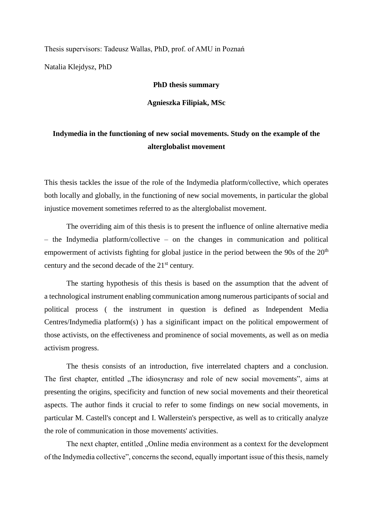Thesis supervisors: Tadeusz Wallas, PhD, prof. of AMU in Poznań Natalia Klejdysz, PhD

## **PhD thesis summary**

**Agnieszka Filipiak, MSc**

## **Indymedia in the functioning of new social movements. Study on the example of the alterglobalist movement**

This thesis tackles the issue of the role of the Indymedia platform/collective, which operates both locally and globally, in the functioning of new social movements, in particular the global injustice movement sometimes referred to as the alterglobalist movement.

The overriding aim of this thesis is to present the influence of online alternative media – the Indymedia platform/collective – on the changes in communication and political empowerment of activists fighting for global justice in the period between the 90s of the  $20<sup>th</sup>$ century and the second decade of the 21st century.

The starting hypothesis of this thesis is based on the assumption that the advent of a technological instrument enabling communication among numerous participants of social and political process ( the instrument in question is defined as Independent Media Centres/Indymedia platform(s) ) has a siginificant impact on the political empowerment of those activists, on the effectiveness and prominence of social movements, as well as on media activism progress.

The thesis consists of an introduction, five interrelated chapters and a conclusion. The first chapter, entitled "The idiosyncrasy and role of new social movements", aims at presenting the origins, specificity and function of new social movements and their theoretical aspects. The author finds it crucial to refer to some findings on new social movements, in particular M. Castell's concept and I. Wallerstein's perspective, as well as to critically analyze the role of communication in those movements' activities.

The next chapter, entitled "Online media environment as a context for the development of the Indymedia collective", concerns the second, equally important issue of this thesis, namely